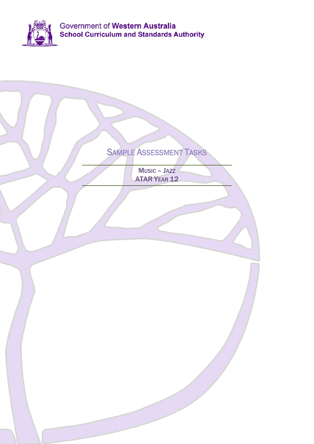

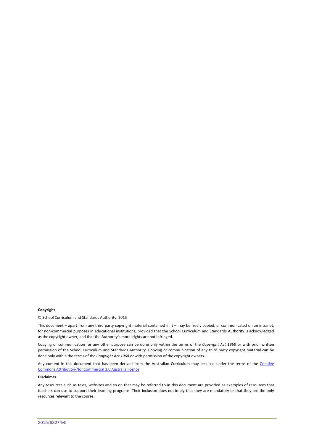#### **Copyright**

© School Curriculum and Standards Authority, 2015

This document – apart from any third party copyright material contained in it – may be freely copied, or communicated on an intranet, for non-commercial purposes in educational institutions, provided that the School Curriculum and Standards Authority is acknowledged as the copyright owner, and that the Authority's moral rights are not infringed.

Copying or communication for any other purpose can be done only within the terms of the *Copyright Act 1968* or with prior written permission of the School Curriculum and Standards Authority. Copying or communication of any third party copyright material can be done only within the terms of the *Copyright Act 1968* or with permission of the copyright owners.

Any content in this document that has been derived from the Australian Curriculum may be used under the terms of the Creative [Commons Attribution-NonCommercial 3.0 Australia licence](http://creativecommons.org/licenses/by-nc/3.0/au/)

#### **Disclaimer**

Any resources such as texts, websites and so on that may be referred to in this document are provided as examples of resources that teachers can use to support their learning programs. Their inclusion does not imply that they are mandatory or that they are the only resources relevant to the course.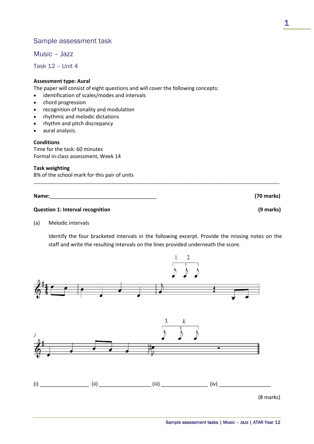## Sample assessment task

Music – Jazz

Task 12 – Unit 4

#### **Assessment type: Aural**

The paper will consist of eight questions and will cover the following concepts:

- identification of scales/modes and intervals
- chord progression
- recognition of tonality and modulation
- rhythmic and melodic dictations
- rhythm and pitch discrepancy
- aural analysis.

#### **Conditions**

Time for the task: 60 minutes Formal in-class assessment, Week 14

#### **Task weighting**

8% of the school mark for this pair of units

**Name:**\_\_\_\_\_\_\_\_\_\_\_\_\_\_\_\_\_\_\_\_\_\_\_\_\_\_\_\_\_\_\_\_\_\_\_\_\_ **(70 marks)**

#### **Question 1: Interval recognition (9 marks)**

(a) Melodic intervals

Identify the four bracketed intervals in the following excerpt. Provide the missing notes on the staff and write the resulting intervals on the lines provided underneath the score.

\_\_\_\_\_\_\_\_\_\_\_\_\_\_\_\_\_\_\_\_\_\_\_\_\_\_\_\_\_\_\_\_\_\_\_\_\_\_\_\_\_\_\_\_\_\_\_\_\_\_\_\_\_\_\_\_\_\_\_\_\_\_\_\_\_\_\_\_\_\_\_\_\_\_\_\_\_\_\_\_\_\_\_\_\_\_\_\_\_\_\_\_\_\_\_\_\_\_\_\_\_\_\_\_

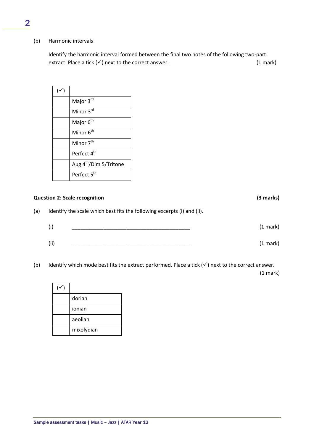#### (b) Harmonic intervals

Identify the harmonic interval formed between the final two notes of the following two-part extract. Place a tick  $(v')$  next to the correct answer. (1 mark)

| $(\checkmark)$ |                                    |
|----------------|------------------------------------|
|                | Major 3rd                          |
|                | Minor 3rd                          |
|                | Major 6 <sup>th</sup>              |
|                | Minor 6 <sup>th</sup>              |
|                | Minor 7 <sup>th</sup>              |
|                | Perfect 4 <sup>th</sup>            |
|                | Aug 4 <sup>th</sup> /Dim 5/Tritone |
|                | Perfect 5 <sup>th</sup>            |

#### **Question 2: Scale recognition (3 marks)**

(a) Identify the scale which best fits the following excerpts (i) and (ii).

| (i)  | (1 mark) |
|------|----------|
|      |          |
| (ii) | (1 mark) |

(b) Identify which mode best fits the extract performed. Place a tick  $(v)$  next to the correct answer.

(1 mark)

| dorian     |
|------------|
| ionian     |
| aeolian    |
| mixolydian |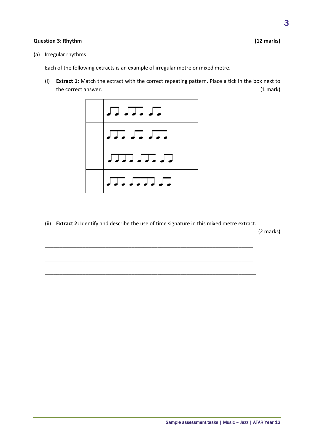#### **Question 3: Rhythm (12 marks)**

(a) Irregular rhythms

Each of the following extracts is an example of irregular metre or mixed metre.

(i) **Extract 1:** Match the extract with the correct repeating pattern. Place a tick in the box next to the correct answer. (1 mark)



(ii) **Extract 2:** Identify and describe the use of time signature in this mixed metre extract.

\_\_\_\_\_\_\_\_\_\_\_\_\_\_\_\_\_\_\_\_\_\_\_\_\_\_\_\_\_\_\_\_\_\_\_\_\_\_\_\_\_\_\_\_\_\_\_\_\_\_\_\_\_\_\_\_\_\_\_\_\_\_\_\_\_\_\_\_\_\_\_\_

\_\_\_\_\_\_\_\_\_\_\_\_\_\_\_\_\_\_\_\_\_\_\_\_\_\_\_\_\_\_\_\_\_\_\_\_\_\_\_\_\_\_\_\_\_\_\_\_\_\_\_\_\_\_\_\_\_\_\_\_\_\_\_\_\_\_\_\_\_\_\_\_

\_\_\_\_\_\_\_\_\_\_\_\_\_\_\_\_\_\_\_\_\_\_\_\_\_\_\_\_\_\_\_\_\_\_\_\_\_\_\_\_\_\_\_\_\_\_\_\_\_\_\_\_\_\_\_\_\_\_\_\_\_\_\_\_\_\_\_\_\_\_\_\_\_

(2 marks)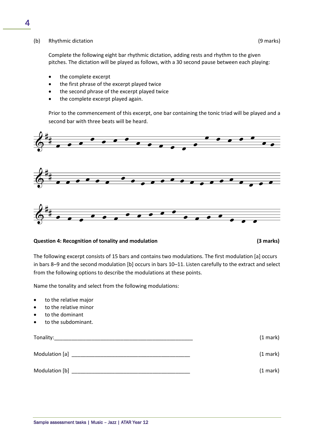#### (b) Rhythmic dictation (9 marks)

Complete the following eight bar rhythmic dictation, adding rests and rhythm to the given pitches. The dictation will be played as follows, with a 30 second pause between each playing:

- the complete excerpt
- the first phrase of the excerpt played twice
- the second phrase of the excerpt played twice
- the complete excerpt played again.

Prior to the commencement of this excerpt, one bar containing the tonic triad will be played and a second bar with three beats will be heard.



#### **Question 4: Recognition of tonality and modulation (3 marks)**

The following excerpt consists of 15 bars and contains two modulations. The first modulation [a] occurs in bars 8–9 and the second modulation [b] occurs in bars 10–11. Listen carefully to the extract and select from the following options to describe the modulations at these points.

Name the tonality and select from the following modulations:

- to the relative major
- to the relative minor
- to the dominant
- to the subdominant.

| Tonality:      | $(1 \text{ mark})$ |
|----------------|--------------------|
| Modulation [a] | $(1 \text{ mark})$ |
| Modulation [b] | (1 mark)           |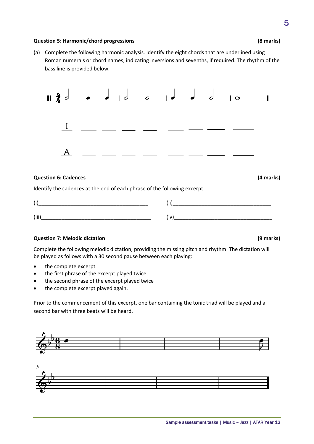#### **Question 5: Harmonic/chord progressions (8 marks)**

(a) Complete the following harmonic analysis. Identify the eight chords that are underlined using Roman numerals or chord names, indicating inversions and sevenths, if required. The rhythm of the bass line is provided below.



#### **Question 6: Cadences (4 marks)**

Identify the cadences at the end of each phrase of the following excerpt.

| 7ï    |     |
|-------|-----|
| (iii) | (iv |

#### **Question 7: Melodic dictation (9 marks)**

Complete the following melodic dictation, providing the missing pitch and rhythm. The dictation will be played as follows with a 30 second pause between each playing:

- the complete excerpt
- the first phrase of the excerpt played twice
- the second phrase of the excerpt played twice
- the complete excerpt played again.

Prior to the commencement of this excerpt, one bar containing the tonic triad will be played and a second bar with three beats will be heard.

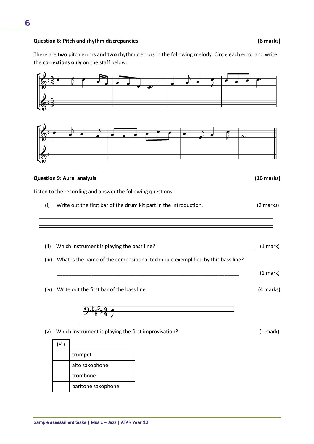#### **Question 8: Pitch and rhythm discrepancies (6 marks)**

There are **two** pitch errors and **two** rhythmic errors in the following melody. Circle each error and write the **corrections only** on the staff below.

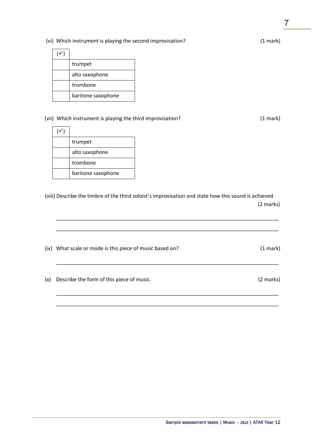$\overline{\phantom{a}}$ 

### (vi) Which instrument is playing the second improvisation? (1 mark)

| trumpet            |
|--------------------|
| alto saxophone     |
| trombone           |
| baritone saxophone |

 $\sim$ 

#### (vii) Which instrument is playing the third improvisation? (1 mark)

| trumpet            |
|--------------------|
| alto saxophone     |
| trombone           |
| baritone saxophone |

(viii) Describe the timbre of the third soloist's improvisation and state how this sound is achieved. (2 marks)

\_\_\_\_\_\_\_\_\_\_\_\_\_\_\_\_\_\_\_\_\_\_\_\_\_\_\_\_\_\_\_\_\_\_\_\_\_\_\_\_\_\_\_\_\_\_\_\_\_\_\_\_\_\_\_\_\_\_\_\_\_\_\_\_\_\_\_\_\_\_\_\_\_\_\_\_\_

\_\_\_\_\_\_\_\_\_\_\_\_\_\_\_\_\_\_\_\_\_\_\_\_\_\_\_\_\_\_\_\_\_\_\_\_\_\_\_\_\_\_\_\_\_\_\_\_\_\_\_\_\_\_\_\_\_\_\_\_\_\_\_\_\_\_\_\_\_\_\_\_\_\_\_\_\_

|     | (ix) What scale or mode is this piece of music based on? | (1 mark)  |
|-----|----------------------------------------------------------|-----------|
| (x) | Describe the form of this piece of music.                | (2 marks) |
|     |                                                          |           |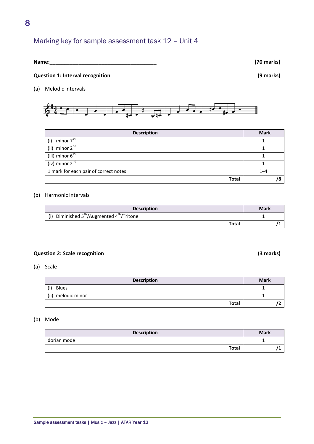## Marking key for sample assessment task 12 – Unit 4

| Name: |  |
|-------|--|
|       |  |

#### **Question 1: Interval recognition (9 marks)**

(a) Melodic intervals



| <b>Description</b>                    | <b>Mark</b> |
|---------------------------------------|-------------|
| minor 7 <sup>th</sup><br>(i)          |             |
| (ii) minor $2^{nd}$                   |             |
| (iii) minor $6^{\text{th}}$           |             |
| (iv) minor $2^{nd}$                   |             |
| 1 mark for each pair of correct notes | $1 - 4$     |
| <b>Total</b>                          |             |

#### (b) Harmonic intervals

| <b>Description</b>                                   | <b>Mark</b> |
|------------------------------------------------------|-------------|
| (i) Diminished $5^{th}/$ Augmented $4^{th}/$ Tritone |             |
| <b>Total</b>                                         |             |

#### **Question 2: Scale recognition (3 marks)**

(a) Scale

| <b>Description</b>    | <b>Mark</b> |
|-----------------------|-------------|
| (i)<br><b>Blues</b>   |             |
| (ii)<br>melodic minor |             |
| <b>Total</b>          |             |

#### (b) Mode

| <b>Description</b> | <b>Mark</b> |
|--------------------|-------------|
| dorian mode        |             |
| Total              |             |

Sample assessment tasks | Music – Jazz | ATAR Year 12

**Name:**\_\_\_\_\_\_\_\_\_\_\_\_\_\_\_\_\_\_\_\_\_\_\_\_\_\_\_\_\_\_\_\_\_\_\_\_\_ **(70 marks)**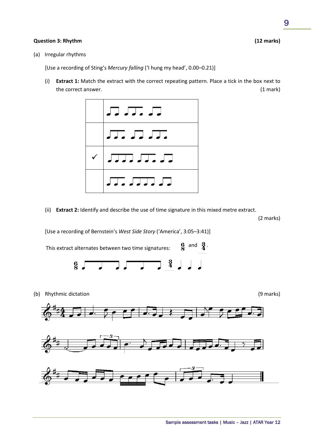## **Question 3: Rhythm (12 marks)**

(a) Irregular rhythms

[Use a recording of Sting's *Mercury falling* ('I hung my head', 0.00–0.21)]

(i) **Extract 1:** Match the extract with the correct repeating pattern. Place a tick in the box next to the correct answer. (1 mark)



(ii) **Extract 2:** Identify and describe the use of time signature in this mixed metre extract.

(2 marks)

[Use a recording of Bernstein's *West Side Story* ('America', 3:05–3:41)]

This extract alternates between two time signatures:  $\begin{matrix} 6 \\ 8 \end{matrix}$  and  $\begin{matrix} 3 \\ 4 \end{matrix}$ .



(b) Rhythmic dictation (9 marks)





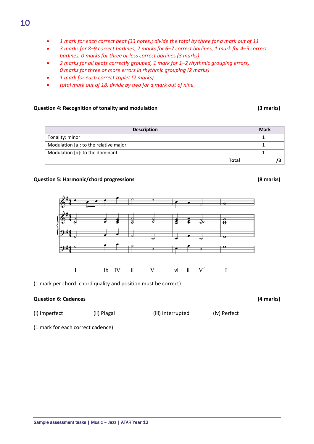- *1 mark for each correct beat (33 notes); divide the total by three for a mark out of 11*
- *3 marks for 8–9 correct barlines, 2 marks for 6–7 correct barlines, 1 mark for 4–5 correct barlines, 0 marks for three or less correct barlines (3 marks)*
- *2 marks for all beats correctly grouped, 1 mark for 1–2 rhythmic grouping errors, 0 marks for three or more errors in rhythmic grouping (2 marks)*
- *1 mark for each correct triplet (2 marks)*
- *total mark out of 18, divide by two for a mark out of nine*

#### **Question 4: Recognition of tonality and modulation (3 marks)**

#### **Question 5: Harmonic/chord progressions (8 marks)**

 $\frac{\textcolor{red}{\bullet}}{\textcolor{red}{\bullet}}$ 

(1 mark per chord: chord quality and position must be correct)

#### **Question 6: Cadences (4 marks)**

(i) Imperfect (ii) Plagal (iii) Interrupted (iv) Perfect

(1 mark for each correct cadence)

| Sample assessment tasks   Music - Jazz   ATAR Year 12 |  |
|-------------------------------------------------------|--|
|                                                       |  |

| <b>Description</b>                    | <b>Mark</b> |
|---------------------------------------|-------------|
| Tonality: minor                       |             |
| Modulation [a]: to the relative major |             |
| Modulation [b]: to the dominant       |             |
| <b>Total</b>                          |             |

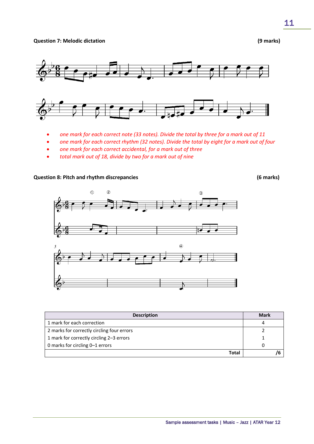**Question 7: Melodic dictation (9 marks)**



- *one mark for each correct note (33 notes). Divide the total by three for a mark out of 11*
- *one mark for each correct rhythm (32 notes). Divide the total by eight for a mark out of four*
- *one mark for each correct accidental, for a mark out of three*
- *total mark out of 18, divide by two for a mark out of nine*

### **Question 8: Pitch and rhythm discrepancies (6 marks)**



| <b>Description</b>                         | <b>Mark</b> |
|--------------------------------------------|-------------|
| 1 mark for each correction                 |             |
| 2 marks for correctly circling four errors |             |
| 1 mark for correctly circling 2–3 errors   |             |
| 0 marks for circling 0–1 errors            | 0           |
| Total                                      |             |

11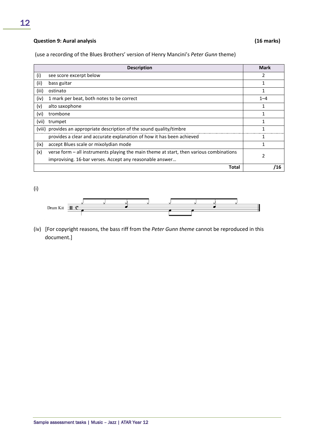## **Question 9: Aural analysis (16 marks)**

(use a recording of the Blues Brothers' version of Henry Mancini's *Peter Gunn* theme)

|        | <b>Description</b>                                                                        | <b>Mark</b> |
|--------|-------------------------------------------------------------------------------------------|-------------|
| (i)    | see score excerpt below                                                                   | 2           |
| (ii)   | bass guitar                                                                               |             |
| (iii)  | ostinato                                                                                  | 1           |
| (iv)   | 1 mark per beat, both notes to be correct                                                 | $1 - 4$     |
| (v)    | alto saxophone                                                                            |             |
| (vi)   | trombone                                                                                  |             |
| (vii)  | trumpet                                                                                   |             |
| (viii) | provides an appropriate description of the sound quality/timbre                           |             |
|        | provides a clear and accurate explanation of how it has been achieved                     |             |
| (ix)   | accept Blues scale or mixolydian mode                                                     |             |
| (x)    | verse form $-$ all instruments playing the main theme at start, then various combinations | 2           |
|        | improvising. 16-bar verses. Accept any reasonable answer                                  |             |
|        | Total                                                                                     | /16         |

(i)



(iv) [For copyright reasons, the bass riff from the *Peter Gunn theme* cannot be reproduced in this document.]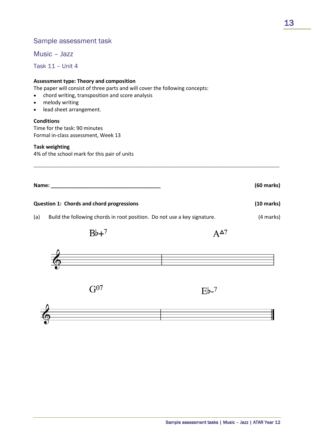## Sample assessment task

Music – Jazz

Task 11 – Unit 4

#### **Assessment type: Theory and composition**

The paper will consist of three parts and will cover the following concepts:

- chord writing, transposition and score analysis
- melody writing
- lead sheet arrangement.

#### **Conditions**

Time for the task: 90 minutes Formal in-class assessment, Week 13

#### **Task weighting**

4% of the school mark for this pair of units

| Name: | $(60$ marks $)$ |
|-------|-----------------|
|       |                 |

\_\_\_\_\_\_\_\_\_\_\_\_\_\_\_\_\_\_\_\_\_\_\_\_\_\_\_\_\_\_\_\_\_\_\_\_\_\_\_\_\_\_\_\_\_\_\_\_\_\_\_\_\_\_\_\_\_\_\_\_\_\_\_\_\_\_\_\_\_\_\_\_\_\_\_\_\_\_\_\_\_\_\_\_\_\_\_\_\_\_\_\_\_\_\_\_\_\_\_\_\_\_\_\_

#### **Question 1: Chords and chord progressions (10 marks)**

(a) Build the following chords in root position. Do not use a key signature. (4 marks)

 $Bb+7$ 

 $A^{\Delta 7}$ 



 $G<sup>07</sup>$ 

 $Eb-7$ 

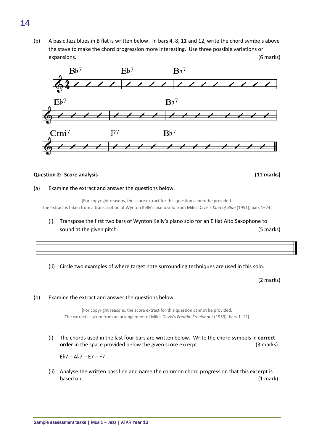(b) A basic Jazz blues in B flat is written below. In bars 4, 8, 11 and 12, write the chord symbols above the stave to make the chord progression more interesting. Use three possible variations or expansions. (6 marks)



#### **Question 2: Score analysis (11 marks)**

#### (a) Examine the extract and answer the questions below.

[For copyright reasons, the score extract for this question cannot be provided. The extract is taken from a transcription of Wynton Kelly's piano solo from Miles Davis's *Kind of Blue* (1951), bars 1–24]

- (i) Transpose the first two bars of Wynton Kelly's piano solo for an E flat Alto Saxophone to sound at the given pitch. The state of the state of the state of the state of the state of the state of the state of the state of the state of the state of the state of the state of the state of the state of the state of t
- (ii) Circle two examples of where target note surrounding techniques are used in this solo.

(2 marks)

#### (b) Examine the extract and answer the questions below.

[For copyright reasons, the score extract for this question cannot be provided. The extract is taken from an arrangement of Miles Davis's *Freddie Freeloader* (1959), bars 1–12]

(i) The chords used in the last four bars are written below. Write the chord symbols in **correct order** in the space provided below the given score excerpt. (3 marks)

E♭7 – A♭7 – E7 – F7

(ii) Analyse the written bass line and name the common chord progression that this excerpt is based on. (1 mark)

\_\_\_\_\_\_\_\_\_\_\_\_\_\_\_\_\_\_\_\_\_\_\_\_\_\_\_\_\_\_\_\_\_\_\_\_\_\_\_\_\_\_\_\_\_\_\_\_\_\_\_\_\_\_\_\_\_\_\_\_\_\_\_\_\_\_\_\_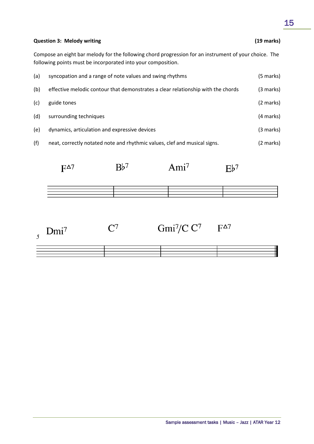#### **Question 3: Melody writing (19 marks)**

Compose an eight bar melody for the following chord progression for an instrument of your choice. The following points must be incorporated into your composition.

| (a) | syncopation and a range of note values and swing rhythms                         | (5 marks) |
|-----|----------------------------------------------------------------------------------|-----------|
| (b) | effective melodic contour that demonstrates a clear relationship with the chords | (3 marks) |
| (c) | guide tones                                                                      | (2 marks) |
| (d) | surrounding techniques                                                           | (4 marks) |
| (e) | dynamics, articulation and expressive devices                                    | (3 marks) |
| (f) | neat, correctly notated note and rhythmic values, clef and musical signs.        | (2 marks) |

Ami<sup>7</sup>  $Bb^7$  $F^{\Delta 7}$  $Eb^7$ 



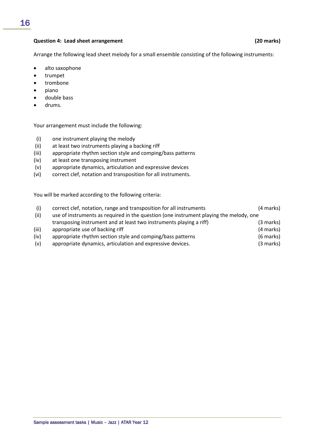#### **Question 4: Lead sheet arrangement (20 marks)**

Arrange the following lead sheet melody for a small ensemble consisting of the following instruments:

- alto saxophone
- trumpet
- trombone
- piano
- double bass
- drums.

Your arrangement must include the following:

- (i) one instrument playing the melody
- (ii) at least two instruments playing a backing riff
- (iii) appropriate rhythm section style and comping/bass patterns
- (iv) at least one transposing instrument
- (v) appropriate dynamics, articulation and expressive devices
- (vi) correct clef, notation and transposition for all instruments.

You will be marked according to the following criteria:

| (i)   | correct clef, notation, range and transposition for all instruments                    | (4 marks)   |
|-------|----------------------------------------------------------------------------------------|-------------|
| (ii)  | use of instruments as required in the question (one instrument playing the melody, one |             |
|       | transposing instrument and at least two instruments playing a riff)                    | $(3$ marks) |
| (iii) | appropriate use of backing riff                                                        | (4 marks)   |
| (iv)  | appropriate rhythm section style and comping/bass patterns                             | (6 marks)   |
| (v)   | appropriate dynamics, articulation and expressive devices.                             | (3 marks)   |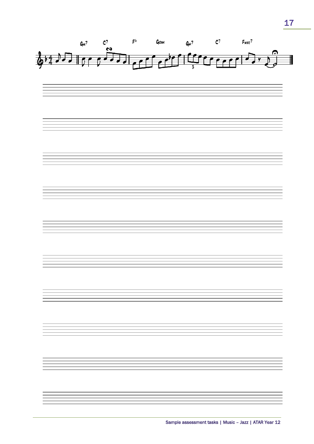

17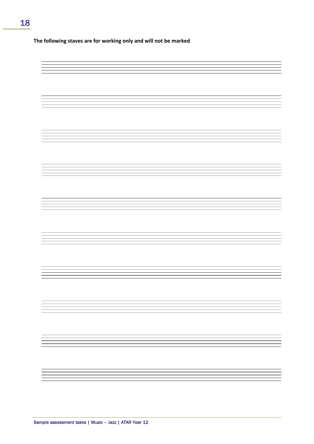#### **The following staves are for working only and will not be marked**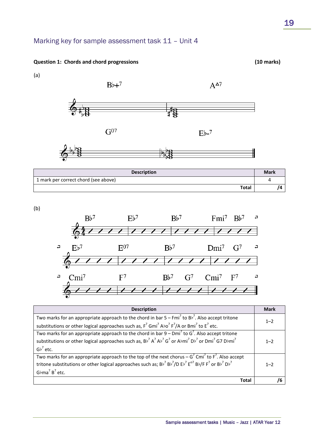## Marking key for sample assessment task 11 – Unit 4

 $Bb+7$ 

#### **Question 1: Chords and chord progressions (10 marks)**





 $A^{\Delta 7}$ 

 $Eb-7$ 





| <b>Description</b>                   | <b>Mark</b> |
|--------------------------------------|-------------|
| 1 mark per correct chord (see above) | д           |
| <b>Total</b>                         | 7           |

(b)



| <b>Description</b>                                                                                                                                      | <b>Mark</b> |
|---------------------------------------------------------------------------------------------------------------------------------------------------------|-------------|
| Two marks for an appropriate approach to the chord in bar $5 - Fmi^7$ to $Bb^7$ . Also accept tritone                                                   | $1 - 2$     |
| substitutions or other logical approaches such as, $F^7$ Gmi <sup>7</sup> Abo <sup>7</sup> F <sup>7</sup> /A or Bmi <sup>7</sup> to E <sup>7</sup> etc. |             |
| Two marks for an appropriate approach to the chord in bar $9 - Dmi^7$ to $G^7$ . Also accept tritone                                                    |             |
| substitutions or other logical approaches such as, $Bb^7A^7A^3A^7G^7$ or $Abm^7B^7$ or Dmi <sup>7</sup> G7 Dbmi <sup>7</sup>                            | $1 - 2$     |
| $\mathsf{Gb}^7$ etc.                                                                                                                                    |             |
| Two marks for an appropriate approach to the top of the next chorus $-G7$ Cmi <sup>7</sup> to F <sup>7</sup> . Also accept                              |             |
| tritone substitutions or other logical approaches such as; $Bb^7Bb^7/DE^7E^{07}Bb/F^7$ or $Bb^7Db^7$                                                    | $1 - 2$     |
| $G$ <sub>b</sub> ma <sup>7</sup> B <sup>7</sup> etc.                                                                                                    |             |
| <b>Total</b>                                                                                                                                            |             |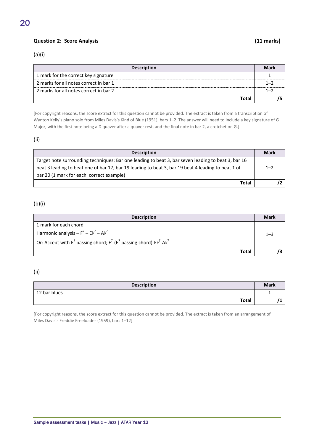## (a)(i)

| <b>Description</b>                     | Mark |
|----------------------------------------|------|
| 1 mark for the correct key signature   |      |
| 2 marks for all notes correct in bar 1 | ī —  |
| 2 marks for all notes correct in bar 2 | ı —  |
| Total                                  |      |

[For copyright reasons, the score extract for this question cannot be provided. The extract is taken from a transcription of Wynton Kelly's piano solo from Miles Davis's Kind of Blue (1951), bars 1–2. The answer will need to include a key signature of G Major, with the first note being a D quaver after a quaver rest, and the final note in bar 2, a crotchet on G.]

#### (ii)

| <b>Description</b>                                                                                 | <b>Mark</b> |
|----------------------------------------------------------------------------------------------------|-------------|
| Target note surrounding techniques: Bar one leading to beat 3, bar seven leading to beat 3, bar 16 |             |
| beat 3 leading to beat one of bar 17, bar 19 leading to beat 3, bar 19 beat 4 leading to beat 1 of | $1 - 2$     |
| bar 20 (1 mark for each correct example)                                                           |             |
| Total                                                                                              |             |

#### (b)(i)

| <b>Description</b>                                                                  | <b>Mark</b> |
|-------------------------------------------------------------------------------------|-------------|
| 1 mark for each chord                                                               |             |
| Harmonic analysis $-F^7 - Eb^7 - Ab^7$                                              | $1 - 3$     |
| Or: Accept with $E^7$ passing chord; $F^7$ -( $E^7$ passing chord)- $Eb^7$ -A $b^7$ |             |
| <b>Total</b>                                                                        |             |

#### (ii)

| <b>Description</b> | <b>Mark</b> |
|--------------------|-------------|
| 12 bar blues       |             |
| <b>Total</b>       |             |

[For copyright reasons, the score extract for this question cannot be provided. The extract is taken from an arrangement of Miles Davis's Freddie Freeloader (1959), bars 1–12]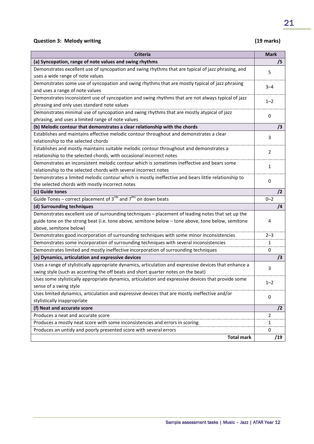## **Question 3: Melody writing (19 marks)**

| <b>Criteria</b>                                                                                        | <b>Mark</b> |
|--------------------------------------------------------------------------------------------------------|-------------|
| (a) Syncopation, range of note values and swing rhythms                                                | /5          |
| Demonstrates excellent use of syncopation and swing rhythms that are typical of jazz phrasing, and     | 5           |
| uses a wide range of note values                                                                       |             |
| Demonstrates some use of syncopation and swing rhythms that are mostly typical of jazz phrasing        | $3 - 4$     |
| and uses a range of note values                                                                        |             |
| Demonstrates inconsistent use of syncopation and swing rhythms that are not always typical of jazz     | $1 - 2$     |
| phrasing and only uses standard note values                                                            |             |
| Demonstrates minimal use of syncopation and swing rhythms that are mostly atypical of jazz             | $\mathbf 0$ |
| phrasing, and uses a limited range of note values                                                      |             |
| (b) Melodic contour that demonstrates a clear relationship with the chords                             | /3          |
| Establishes and maintains effective melodic contour throughout and demonstrates a clear                | 3           |
| relationship to the selected chords                                                                    |             |
| Establishes and mostly maintains suitable melodic contour throughout and demonstrates a                | 2           |
| relationship to the selected chords, with occasional incorrect notes                                   |             |
| Demonstrates an inconsistent melodic contour which is sometimes ineffective and bears some             | 1           |
| relationship to the selected chords with several incorrect notes                                       |             |
| Demonstrates a limited melodic contour which is mostly ineffective and bears little relationship to    | 0           |
| the selected chords with mostly incorrect notes                                                        |             |
| (c) Guide tones                                                                                        | /2          |
| Guide Tones – correct placement of $3^{rds}$ and $7^{ths}$ on down beats                               | $0 - 2$     |
| (d) Surrounding techniques                                                                             | $\sqrt{4}$  |
| Demonstrates excellent use of surrounding techniques - placement of leading notes that set up the      |             |
| guide tone on the strong beat (i.e. tone above, semitone below - tone above, tone below, semitone      | 4           |
| above, semitone below)                                                                                 |             |
| Demonstrates good incorporation of surrounding techniques with some minor inconsistencies              | $2 - 3$     |
| Demonstrates some incorporation of surrounding techniques with several inconsistencies                 | 1           |
| Demonstrates limited and mostly ineffective incorporation of surrounding techniques                    | 0           |
| (e) Dynamics, articulation and expressive devices                                                      | /3          |
| Uses a range of stylistically appropriate dynamics, articulation and expressive devices that enhance a | 3           |
| swing style (such as accenting the off beats and short quarter notes on the beat)                      |             |
| Uses some stylistically appropriate dynamics, articulation and expressive devices that provide some    | $1 - 2$     |
| sense of a swing style                                                                                 |             |
| Uses limited dynamics, articulation and expressive devices that are mostly ineffective and/or          | 0           |
| stylistically inappropriate                                                                            |             |
| (f) Neat and accurate score                                                                            | /2          |
| Produces a neat and accurate score                                                                     | 2           |
| Produces a mostly neat score with some inconsistencies and errors in scoring                           | 1           |
| Produces an untidy and poorly presented score with several errors                                      | 0           |
| <b>Total mark</b>                                                                                      | /19         |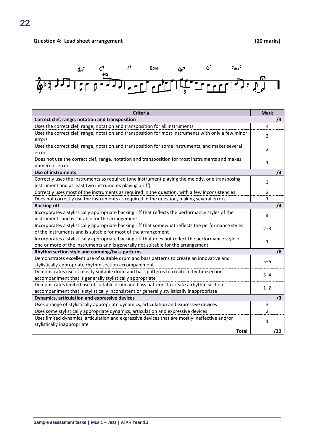

| <b>Criteria</b>                                                                                      | <b>Mark</b>  |
|------------------------------------------------------------------------------------------------------|--------------|
| Correct clef, range, notation and transposition                                                      | 74           |
| Uses the correct clef, range, notation and transposition for all instruments                         | 4            |
| Uses the correct clef, range, notation and transposition for most instruments with only a few minor  | 3            |
| errors                                                                                               |              |
| Uses the correct clef, range, notation and transposition for some instruments, and makes several     | 2            |
| errors                                                                                               |              |
| Does not use the correct clef, range, notation and transposition for most instruments and makes      | $\mathbf{1}$ |
| numerous errors                                                                                      |              |
| <b>Use of instruments</b>                                                                            | /3           |
| Correctly uses the instruments as required (one instrument playing the melody, one transposing       | 3            |
| instrument and at least two instruments playing a riff)                                              |              |
| Correctly uses most of the instruments as required in the question, with a few inconsistencies       | 2            |
| Does not correctly use the instruments as required in the question, making several errors            | 1            |
| <b>Backing riff</b>                                                                                  | 74           |
| Incorporates a stylistically appropriate backing riff that reflects the performance styles of the    | 4            |
| instruments and is suitable for the arrangement                                                      |              |
| Incorporates a stylistically appropriate backing riff that somewhat reflects the performance styles  | $2 - 3$      |
| of the instruments and is suitable for most of the arrangement                                       |              |
| Incorporates a stylistically appropriate backing riff that does not reflect the performance style of | $\mathbf{1}$ |
| one or more of the instruments and is generally not suitable for the arrangement                     |              |
| Rhythm section style and comping/bass patterns                                                       | /6           |
| Demonstrates excellent use of suitable drum and bass patterns to create an innovative and            | $5 - 6$      |
| stylistically appropriate rhythm section accompaniment                                               |              |
| Demonstrates use of mostly suitable drum and bass patterns to create a rhythm section                | $3 - 4$      |
| accompaniment that is generally stylistically appropriate                                            |              |
| Demonstrates limited use of suitable drum and bass patterns to create a rhythm section               | $1 - 2$      |
| accompaniment that is stylistically inconsistent or generally stylistically inappropriate            |              |
| Dynamics, articulation and expressive devices                                                        | /3           |
| Uses a range of stylistically appropriate dynamics, articulation and expressive devices              | 3            |
| Uses some stylistically appropriate dynamics, articulation and expressive devices                    | 2            |
| Uses limited dynamics, articulation and expressive devices that are mostly ineffective and/or        | $\mathbf{1}$ |
| stylistically inappropriate                                                                          |              |
| <b>Total</b>                                                                                         | /20          |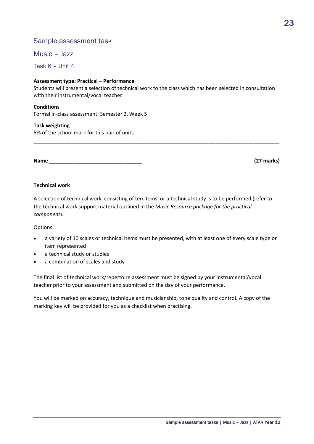## Sample assessment task

Music – Jazz

Task 6 – Unit 4

#### **Assessment type: Practical – Performance**

Students will present a selection of technical work to the class which has been selected in consultation with their instrumental/vocal teacher.

\_\_\_\_\_\_\_\_\_\_\_\_\_\_\_\_\_\_\_\_\_\_\_\_\_\_\_\_\_\_\_\_\_\_\_\_\_\_\_\_\_\_\_\_\_\_\_\_\_\_\_\_\_\_\_\_\_\_\_\_\_\_\_\_\_\_\_\_\_\_\_\_\_\_\_\_\_\_\_\_\_\_\_\_\_\_\_\_\_\_\_\_\_\_\_\_\_\_\_\_\_\_\_\_

#### **Conditions**

Formal in-class assessment: Semester 2, Week 5

#### **Task weighting**

5% of the school mark for this pair of units

**Name \_\_\_\_\_\_\_\_\_\_\_\_\_\_\_\_\_\_\_\_\_\_\_\_\_\_\_\_\_\_\_\_ (27 marks)**

#### **Technical work**

A selection of technical work, consisting of ten items, or a technical study is to be performed (refer to the technical work support material outlined in the *Music Resource package for the practical component*).

Options:

- a variety of 10 scales or technical items must be presented, with at least one of every scale type or item represented
- a technical study or studies
- a combination of scales and study

The final list of technical work/repertoire assessment must be signed by your instrumental/vocal teacher prior to your assessment and submitted on the day of your performance.

You will be marked on accuracy, technique and musicianship, tone quality and control. A copy of the marking key will be provided for you as a checklist when practising.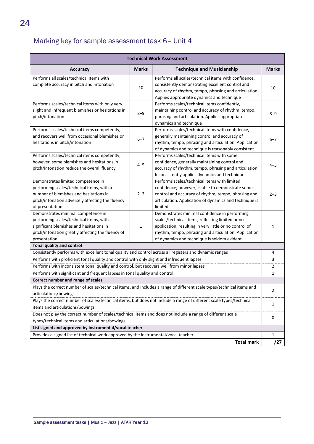# Marking key for sample assessment task 6– Unit 4

| <b>Technical Work Assessment</b>                                                                                                                                                                 |              |                                                                                                                                                                                                                                                                     |              |
|--------------------------------------------------------------------------------------------------------------------------------------------------------------------------------------------------|--------------|---------------------------------------------------------------------------------------------------------------------------------------------------------------------------------------------------------------------------------------------------------------------|--------------|
| <b>Accuracy</b>                                                                                                                                                                                  | <b>Marks</b> | <b>Technique and Musicianship</b>                                                                                                                                                                                                                                   | <b>Marks</b> |
| Performs all scales/technical items with<br>complete accuracy in pitch and intonation                                                                                                            | 10           | Performs all scales/technical items with confidence,<br>consistently demonstrating excellent control and<br>accuracy of rhythm, tempo, phrasing and articulation.<br>Applies appropriate dynamics and technique                                                     | 10           |
| Performs scales/technical items with only very<br>slight and infrequent blemishes or hesitations in<br>pitch/intonation                                                                          | $8 - 9$      | Performs scales/technical items confidently,<br>maintaining control and accuracy of rhythm, tempo,<br>phrasing and articulation. Applies appropriate<br>dynamics and technique                                                                                      | $8 - 9$      |
| Performs scales/technical items competently,<br>and recovers well from occasional blemishes or<br>hesitations in pitch/intonation                                                                | $6 - 7$      | Performs scales/technical items with confidence,<br>generally maintaining control and accuracy of<br>rhythm, tempo, phrasing and articulation. Application<br>of dynamics and technique is reasonably consistent                                                    | $6 - 7$      |
| Performs scales/technical items competently;<br>however, some blemishes and hesitations in<br>pitch/intonation reduce the overall fluency                                                        | $4 - 5$      | Performs scales/technical items with some<br>confidence, generally maintaining control and<br>accuracy of rhythm, tempo, phrasing and articulation.<br>Inconsistently applies dynamics and technique                                                                | 4–5          |
| Demonstrates limited competence in<br>performing scales/technical items, with a<br>number of blemishes and hesitations in<br>pitch/intonation adversely affecting the fluency<br>of presentation | $2 - 3$      | Performs scales/technical items with limited<br>confidence; however, is able to demonstrate some<br>control and accuracy of rhythm, tempo, phrasing and<br>articulation. Application of dynamics and technique is<br>limited                                        | $2 - 3$      |
| Demonstrates minimal competence in<br>performing scales/technical items, with<br>significant blemishes and hesitations in<br>pitch/intonation greatly affecting the fluency of<br>presentation   | 1            | Demonstrates minimal confidence in performing<br>scales/technical items, reflecting limited or no<br>application, resulting in very little or no control of<br>rhythm, tempo, phrasing and articulation. Application<br>of dynamics and technique is seldom evident | 1            |
| Tonal quality and control                                                                                                                                                                        |              |                                                                                                                                                                                                                                                                     |              |
| Consistently performs with excellent tonal quality and control across all registers and dynamic ranges                                                                                           |              |                                                                                                                                                                                                                                                                     | 4            |
| Performs with proficient tonal quality and control with only slight and infrequent lapses                                                                                                        |              |                                                                                                                                                                                                                                                                     | 3            |
| Performs with inconsistent tonal quality and control, but recovers well from minor lapses                                                                                                        |              |                                                                                                                                                                                                                                                                     | 2            |
| Performs with significant and frequent lapses in tonal quality and control                                                                                                                       |              |                                                                                                                                                                                                                                                                     | 1            |
| Correct number and range of scales                                                                                                                                                               |              |                                                                                                                                                                                                                                                                     |              |
| Plays the correct number of scales/technical items, and includes a range of different scale types/technical items and<br>articulations/bowings                                                   |              | 2                                                                                                                                                                                                                                                                   |              |
| items and articulations/bowings                                                                                                                                                                  |              | Plays the correct number of scales/technical items, but does not include a range of different scale types/technical                                                                                                                                                 | 1            |
| Does not play the correct number of scales/technical items and does not include a range of different scale                                                                                       |              |                                                                                                                                                                                                                                                                     |              |
| types/technical items and articulations/bowings                                                                                                                                                  |              |                                                                                                                                                                                                                                                                     | 0            |
| List signed and approved by instrumental/vocal teacher                                                                                                                                           |              |                                                                                                                                                                                                                                                                     |              |
| Provides a signed list of technical work approved by the instrumental/vocal teacher                                                                                                              |              |                                                                                                                                                                                                                                                                     | 1            |
|                                                                                                                                                                                                  |              | <b>Total mark</b>                                                                                                                                                                                                                                                   | /27          |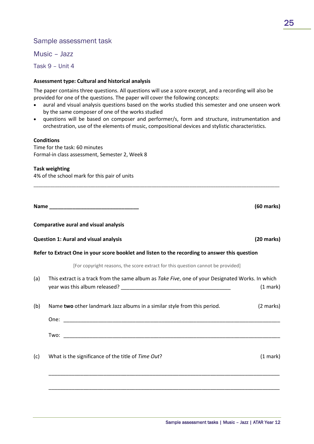## Sample assessment task

Music – Jazz

Task 9 – Unit 4

#### **Assessment type: Cultural and historical analysis**

The paper contains three questions. All questions will use a score excerpt, and a recording will also be provided for one of the questions. The paper will cover the following concepts:

- aural and visual analysis questions based on the works studied this semester and one unseen work by the same composer of one of the works studied
- questions will be based on composer and performer/s, form and structure, instrumentation and orchestration, use of the elements of music, compositional devices and stylistic characteristics.

\_\_\_\_\_\_\_\_\_\_\_\_\_\_\_\_\_\_\_\_\_\_\_\_\_\_\_\_\_\_\_\_\_\_\_\_\_\_\_\_\_\_\_\_\_\_\_\_\_\_\_\_\_\_\_\_\_\_\_\_\_\_\_\_\_\_\_\_\_\_\_\_\_\_\_\_\_\_\_\_\_\_\_\_\_\_\_\_\_\_\_\_\_\_\_\_\_\_\_\_\_\_\_\_

#### **Conditions**

Time for the task: 60 minutes Formal-in class assessment, Semester 2, Week 8

#### **Task weighting**

4% of the school mark for this pair of units

|     | Name and the state of the state of the state of the state of the state of the state of the state of the state of the state of the state of the state of the state of the state of the state of the state of the state of the s | $(60$ marks $)$ |
|-----|--------------------------------------------------------------------------------------------------------------------------------------------------------------------------------------------------------------------------------|-----------------|
|     | <b>Comparative aural and visual analysis</b>                                                                                                                                                                                   |                 |
|     | <b>Question 1: Aural and visual analysis</b>                                                                                                                                                                                   | $(20$ marks)    |
|     | Refer to Extract One in your score booklet and listen to the recording to answer this question                                                                                                                                 |                 |
|     | [For copyright reasons, the score extract for this question cannot be provided]                                                                                                                                                |                 |
| (a) | This extract is a track from the same album as Take Five, one of your Designated Works. In which                                                                                                                               | (1 mark)        |
| (b) | Name two other landmark Jazz albums in a similar style from this period.                                                                                                                                                       | (2 marks)       |
|     |                                                                                                                                                                                                                                |                 |
|     |                                                                                                                                                                                                                                |                 |
| (c) | What is the significance of the title of Time Out?                                                                                                                                                                             | (1 mark)        |
|     |                                                                                                                                                                                                                                |                 |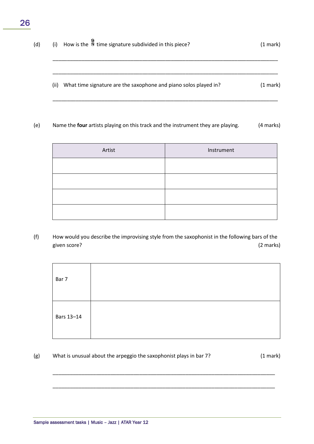| (d) | (i)  | How is the $\frac{9}{8}$ time signature subdivided in this piece? | $(1 \text{ mark})$ |
|-----|------|-------------------------------------------------------------------|--------------------|
|     | (ii) | What time signature are the saxophone and piano solos played in?  | $(1 \text{ mark})$ |

(e) Name the **four** artists playing on this track and the instrument they are playing. (4 marks)

| Artist | Instrument |
|--------|------------|
|        |            |
|        |            |
|        |            |
|        |            |

(f) How would you describe the improvising style from the saxophonist in the following bars of the given score? (2 marks)

| Bar 7      |  |
|------------|--|
| Bars 13-14 |  |

\_\_\_\_\_\_\_\_\_\_\_\_\_\_\_\_\_\_\_\_\_\_\_\_\_\_\_\_\_\_\_\_\_\_\_\_\_\_\_\_\_\_\_\_\_\_\_\_\_\_\_\_\_\_\_\_\_\_\_\_\_\_\_\_\_\_\_\_\_\_\_\_\_\_\_\_\_

\_\_\_\_\_\_\_\_\_\_\_\_\_\_\_\_\_\_\_\_\_\_\_\_\_\_\_\_\_\_\_\_\_\_\_\_\_\_\_\_\_\_\_\_\_\_\_\_\_\_\_\_\_\_\_\_\_\_\_\_\_\_\_\_\_\_\_\_\_\_\_\_\_\_\_\_\_

(g) What is unusual about the arpeggio the saxophonist plays in bar 7? (1 mark)

26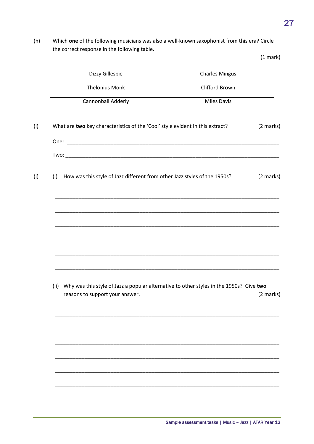(h) Which **one** of the following musicians was also a well-known saxophonist from this era? Circle the correct response in the following table.

(1 mark)

| Dizzy Gillespie                                                                  | <b>Charles Mingus</b>                                                                        |
|----------------------------------------------------------------------------------|----------------------------------------------------------------------------------------------|
| <b>Thelonius Monk</b>                                                            | Clifford Brown                                                                               |
| Cannonball Adderly                                                               | <b>Miles Davis</b>                                                                           |
| What are two key characteristics of the 'Cool' style evident in this extract?    | (2 marks)                                                                                    |
|                                                                                  |                                                                                              |
| How was this style of Jazz different from other Jazz styles of the 1950s?<br>(i) | (2 marks)                                                                                    |
|                                                                                  |                                                                                              |
|                                                                                  |                                                                                              |
|                                                                                  |                                                                                              |
|                                                                                  |                                                                                              |
|                                                                                  | (ii) Why was this style of Jazz a popular alternative to other styles in the 1950s? Give two |
| reasons to support your answer.                                                  | (2 marks)                                                                                    |
|                                                                                  |                                                                                              |
|                                                                                  |                                                                                              |
|                                                                                  |                                                                                              |
|                                                                                  |                                                                                              |
|                                                                                  |                                                                                              |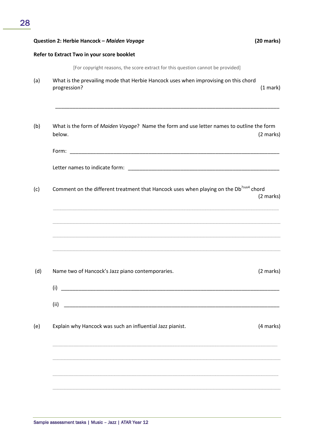| Question 2: Herbie Hancock - Maiden Voyage                                                          | $(20$ marks) |
|-----------------------------------------------------------------------------------------------------|--------------|
| Refer to Extract Two in your score booklet                                                          |              |
| [For copyright reasons, the score extract for this question cannot be provided]                     |              |
| What is the prevailing mode that Herbie Hancock uses when improvising on this chord<br>progression? | (1 mark)     |
| What is the form of Maiden Voyage? Name the form and use letter names to outline the form<br>below. | (2 marks)    |
|                                                                                                     |              |
|                                                                                                     |              |
| Comment on the different treatment that Hancock uses when playing on the Db <sup>7sus4</sup> chord  | (2 marks)    |
| Name two of Hancock's Jazz piano contemporaries.                                                    | (2 marks)    |
| $(ii)$ $\qquad \qquad$<br>Explain why Hancock was such an influential Jazz pianist.                 | (4 marks)    |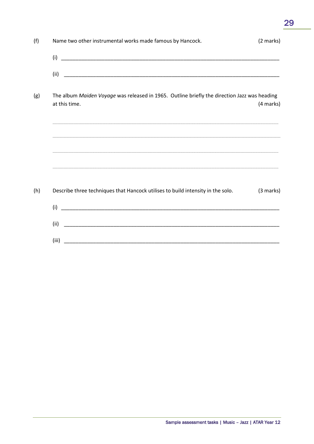| (f) | Name two other instrumental works made famous by Hancock.                                                     | (2 marks)           |
|-----|---------------------------------------------------------------------------------------------------------------|---------------------|
|     |                                                                                                               |                     |
|     |                                                                                                               |                     |
| (g) | The album Maiden Voyage was released in 1965. Outline briefly the direction Jazz was heading<br>at this time. | (4 marks)           |
|     |                                                                                                               |                     |
|     |                                                                                                               |                     |
| (h) | Describe three techniques that Hancock utilises to build intensity in the solo.                               | $(3 \text{ marks})$ |
|     |                                                                                                               |                     |
|     | (ii)                                                                                                          |                     |
|     | (iii)                                                                                                         |                     |

29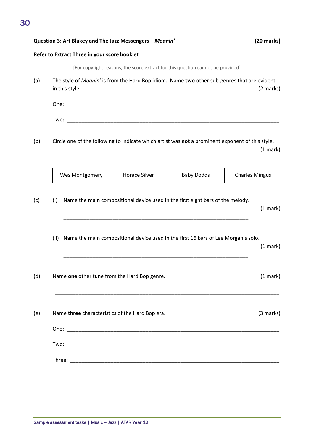#### **Question 3: Art Blakey and The Jazz Messengers –** *Moanin'* **(20 marks)**

#### **Refer to Extract Three in your score booklet**

[For copyright reasons, the score extract for this question cannot be provided]

(a) The style of *Moanin'* is from the Hard Bop idiom. Name **two** other sub-genres that are evident in this style. (2 marks)

One: \_\_\_\_\_\_\_\_\_\_\_\_\_\_\_\_\_\_\_\_\_\_\_\_\_\_\_\_\_\_\_\_\_\_\_\_\_\_\_\_\_\_\_\_\_\_\_\_\_\_\_\_\_\_\_\_\_\_\_\_\_\_\_\_\_\_\_\_\_\_\_\_\_  $Two:$ 

(b) Circle one of the following to indicate which artist was **not** a prominent exponent of this style. (1 mark)

|      | Wes Montgomery | <b>Horace Silver</b>                            | <b>Baby Dodds</b>                                                                  | <b>Charles Mingus</b> |
|------|----------------|-------------------------------------------------|------------------------------------------------------------------------------------|-----------------------|
| (i)  |                |                                                 | Name the main compositional device used in the first eight bars of the melody.     | $(1$ mark)            |
| (ii) |                |                                                 | Name the main compositional device used in the first 16 bars of Lee Morgan's solo. | $(1$ mark)            |
|      |                | Name one other tune from the Hard Bop genre.    |                                                                                    | $(1$ mark)            |
|      |                | Name three characteristics of the Hard Bop era. |                                                                                    | (3 marks)             |
|      |                |                                                 |                                                                                    |                       |
|      |                |                                                 |                                                                                    |                       |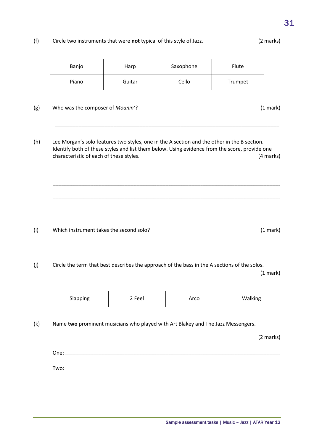#### $(f)$ Circle two instruments that were not typical of this style of Jazz.

| Banjo                                   | Harp   | Saxophone                                                                                                                                                                                    | Flute   |           |
|-----------------------------------------|--------|----------------------------------------------------------------------------------------------------------------------------------------------------------------------------------------------|---------|-----------|
| Piano                                   | Guitar | Cello                                                                                                                                                                                        | Trumpet |           |
| Who was the composer of Moanin'?        |        |                                                                                                                                                                                              |         | (1 mark)  |
| characteristic of each of these styles. |        | Lee Morgan's solo features two styles, one in the A section and the other in the B section.<br>Identify both of these styles and list them below. Using evidence from the score, provide one |         | (4 marks) |
|                                         |        |                                                                                                                                                                                              |         |           |

 $(i)$ Which instrument takes the second solo?

 $(g)$ 

 $(h)$ 

 $(j)$ Circle the term that best describes the approach of the bass in the A sections of the solos.

 $(1 mark)$ 

 $(1 mark)$ 

| Slapping | 2 Feel | Arco | Walking |
|----------|--------|------|---------|
|----------|--------|------|---------|

 $(k)$ Name two prominent musicians who played with Art Blakey and The Jazz Messengers.

(2 marks)

One:  $\qquad \qquad$ Two:

(2 marks)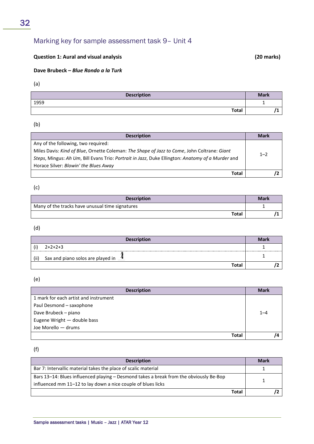# Marking key for sample assessment task 9– Unit 4

## **Question 1: Aural and visual analysis (20 marks)**

#### **Dave Brubeck –** *Blue Rondo a la Turk*

(a)

| <b>Description</b> | <b>Mark</b> |
|--------------------|-------------|
| 1959               |             |
| <b>Total</b>       |             |

(b)

| <b>Description</b>                                                                               | <b>Mark</b> |
|--------------------------------------------------------------------------------------------------|-------------|
| Any of the following, two required:                                                              |             |
| Miles Davis: Kind of Blue, Ornette Coleman: The Shape of Jazz to Come, John Coltrane: Giant      | $1 - 2$     |
| Steps, Mingus: Ah Um, Bill Evans Trio: Portrait in Jazz, Duke Ellington: Anatomy of a Murder and |             |
| Horace Silver: Blowin' the Blues Away                                                            |             |
| Total                                                                                            |             |

(c)

| <b>Description</b>                              | <b>Mark</b> |
|-------------------------------------------------|-------------|
| Many of the tracks have unusual time signatures |             |
| Total                                           |             |

(d)

|      | <b>Description</b>                              | <b>Mark</b> |
|------|-------------------------------------------------|-------------|
| (i   | $2+2+2+3$                                       |             |
| (ii) | Sax and piano solos are played in $\frac{4}{1}$ |             |
|      | Total                                           |             |

(e)

| <b>Description</b>                    | <b>Mark</b> |
|---------------------------------------|-------------|
| 1 mark for each artist and instrument |             |
| Paul Desmond - saxophone              |             |
| Dave Brubeck - piano                  | $1 - 4$     |
| Eugene Wright - double bass           |             |
| Joe Morello - drums                   |             |
| <b>Total</b>                          |             |

(f)

| <b>Description</b>                                                                     | <b>Mark</b> |  |
|----------------------------------------------------------------------------------------|-------------|--|
| Bar 7: Intervallic material takes the place of scalic material                         |             |  |
| Bars 13-14: Blues influenced playing - Desmond takes a break from the obviously Be-Bop |             |  |
| influenced mm 11-12 to lay down a nice couple of blues licks                           |             |  |
| <b>Total</b>                                                                           |             |  |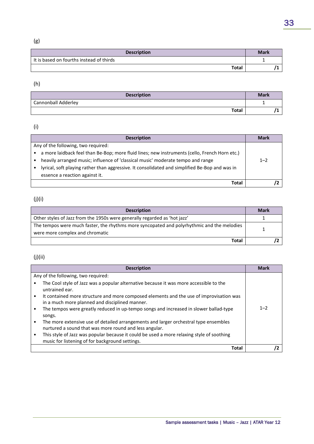# (g)

| <b>Mark</b> | <b>Description</b>                       |
|-------------|------------------------------------------|
|             | It is based on fourths instead of thirds |
|             | <b>Total</b>                             |
|             |                                          |

## (h)

| <b>Description</b>         | <b>Mark</b> |
|----------------------------|-------------|
| <b>Cannonball Adderley</b> |             |
| <b>Total</b>               |             |

## (i)

| <b>Description</b>                                                                             | <b>Mark</b> |
|------------------------------------------------------------------------------------------------|-------------|
| Any of the following, two required:                                                            |             |
| a more laidback feel than Be-Bop; more fluid lines; new instruments (cello, French Horn etc.)  |             |
| heavily arranged music; influence of 'classical music' moderate tempo and range                | $1 - 2$     |
| lyrical, soft playing rather than aggressive. It consolidated and simplified Be-Bop and was in |             |
| essence a reaction against it.                                                                 |             |
| Total                                                                                          |             |

## (j)(i)

| <b>Description</b>                                                                         | <b>Mark</b> |
|--------------------------------------------------------------------------------------------|-------------|
| Other styles of Jazz from the 1950s were generally regarded as 'hot jazz'                  |             |
| The tempos were much faster, the rhythms more syncopated and polyrhythmic and the melodies |             |
| were more complex and chromatic                                                            |             |
| Total                                                                                      |             |

## (j)(ii)

| <b>Description</b>                                                                                                                             | <b>Mark</b> |
|------------------------------------------------------------------------------------------------------------------------------------------------|-------------|
| Any of the following, two required:                                                                                                            |             |
| The Cool style of Jazz was a popular alternative because it was more accessible to the<br>untrained ear.                                       |             |
| It contained more structure and more composed elements and the use of improvisation was<br>in a much more planned and disciplined manner.      |             |
| The tempos were greatly reduced in up-tempo songs and increased in slower ballad-type<br>songs.                                                | $1 - 2$     |
| The more extensive use of detailed arrangements and larger orchestral type ensembles<br>nurtured a sound that was more round and less angular. |             |
| This style of Jazz was popular because it could be used a more relaxing style of soothing<br>music for listening of for background settings.   |             |
| Total                                                                                                                                          |             |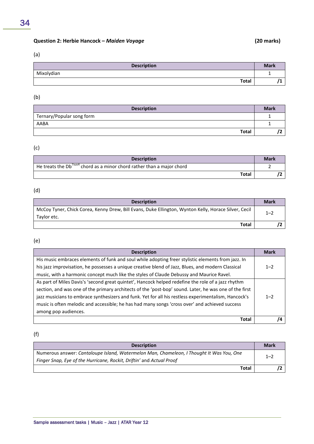## **Question 2: Herbie Hancock –** *Maiden Voyage* **(20 marks)**

### (a)

| <b>Description</b> | <b>Mark</b> |
|--------------------|-------------|
| Mixolydian         | <b>.</b>    |
| <b>Total</b>       |             |

#### (b)

| <b>Description</b>        | <b>Mark</b> |
|---------------------------|-------------|
| Ternary/Popular song form |             |
| AABA                      |             |
| <b>Total</b>              |             |

## (c)

| <b>Description</b>                                                                               | <b>Mark</b> |
|--------------------------------------------------------------------------------------------------|-------------|
| $\frac{1}{1}$ He treats the Db <sup>7sus4</sup> chord as a minor chord rather than a major chord |             |
| <b>Total</b>                                                                                     |             |

## (d)

| <b>Description</b>                                                                                                  | <b>Mark</b> |
|---------------------------------------------------------------------------------------------------------------------|-------------|
| McCoy Tyner, Chick Corea, Kenny Drew, Bill Evans, Duke Ellington, Wynton Kelly, Horace Silver, Cecil<br>Taylor etc. | $1 - 2$     |
| Total                                                                                                               |             |

## (e)

| <b>Description</b>                                                                                     | <b>Mark</b> |
|--------------------------------------------------------------------------------------------------------|-------------|
| His music embraces elements of funk and soul while adopting freer stylistic elements from jazz. In     |             |
| his jazz improvisation, he possesses a unique creative blend of Jazz, Blues, and modern Classical      | $1 - 2$     |
| music, with a harmonic concept much like the styles of Claude Debussy and Maurice Ravel.               |             |
| As part of Miles Davis's 'second great quintet', Hancock helped redefine the role of a jazz rhythm     |             |
| section, and was one of the primary architects of the 'post-bop' sound. Later, he was one of the first |             |
| jazz musicians to embrace synthesizers and funk. Yet for all his restless experimentalism, Hancock's   | $1 - 2$     |
| music is often melodic and accessible; he has had many songs 'cross over' and achieved success         |             |
| among pop audiences.                                                                                   |             |
| <b>Total</b>                                                                                           |             |

## (f)

| <b>Description</b>                                                                                                                                               | <b>Mark</b> |
|------------------------------------------------------------------------------------------------------------------------------------------------------------------|-------------|
| Numerous answer: Cantaloupe Island, Watermelon Man, Chameleon, I Thought It Was You, One<br>Finger Snap, Eye of the Hurricane, Rockit, Driftin' and Actual Proof | $1 - 2$     |
| Total                                                                                                                                                            |             |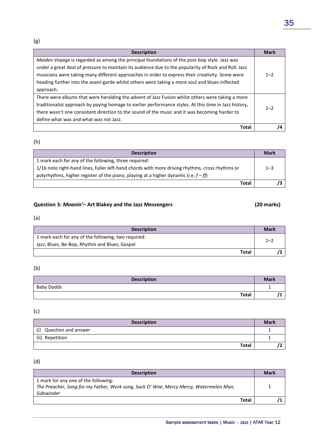(g)

| <b>Description</b>                                                                                    | <b>Mark</b> |
|-------------------------------------------------------------------------------------------------------|-------------|
| Maiden Voyage is regarded as among the principal foundations of the post-bop style. Jazz was          |             |
| under a great deal of pressure to maintain its audience due to the popularity of Rock and Roll. Jazz  |             |
| musicians were taking many different approaches in order to express their creativity. Some were       | $1 - 2$     |
| heading further into the avant-garde whilst others were taking a more soul and blues-inflected        |             |
| approach.                                                                                             |             |
| There were albums that were heralding the advent of Jazz Fusion whilst others were taking a more      |             |
| traditionalist approach by paying homage to earlier performance styles. At this time in Jazz history, | $1 - 2$     |
| there wasn't one consistent direction to the sound of the music and it was becoming harder to         |             |
| define what was and what was not Jazz.                                                                |             |
| Total                                                                                                 |             |

## (h)

| <b>Description</b>                                                                              | <b>Mark</b> |
|-------------------------------------------------------------------------------------------------|-------------|
| 1 mark each for any of the following, three required:                                           |             |
| 1/16 note right-hand lines, fuller left-hand chords with more driving rhythms, cross rhythms or | $1 - 3$     |
| polyrhythms, higher register of the piano, playing at a higher dynamic (i.e. $f - ff$ )         |             |
| Total                                                                                           |             |

## **Question 3:** *Moanin'***– Art Blakey and the Jazz Messengers (20 marks)**

#### (a)

| <b>Description</b>                                  | <b>Mark</b> |
|-----------------------------------------------------|-------------|
| 1 mark each for any of the following, two required: | $1 - 2$     |
| Jazz, Blues, Be-Bop, Rhythm and Blues, Gospel       |             |
| Total                                               |             |

### (b)

| <b>Description</b> | <b>Mark</b> |
|--------------------|-------------|
| <b>Baby Dodds</b>  |             |
| <b>Total</b>       |             |

## (c)

| <b>Description</b>         | <b>Mark</b> |
|----------------------------|-------------|
| (i)<br>Question and answer |             |
| (ii) Repetition            |             |
| <b>Total</b>               |             |

### (d)

| <b>Description</b>                                                                     | <b>Mark</b> |
|----------------------------------------------------------------------------------------|-------------|
| 1 mark for any one of the following:                                                   |             |
| The Preacher, Song for my Father, Work song, Sack O' Woe, Mercy Mercy, Watermelon Man, |             |
| Sidewinder                                                                             |             |
| Total                                                                                  |             |